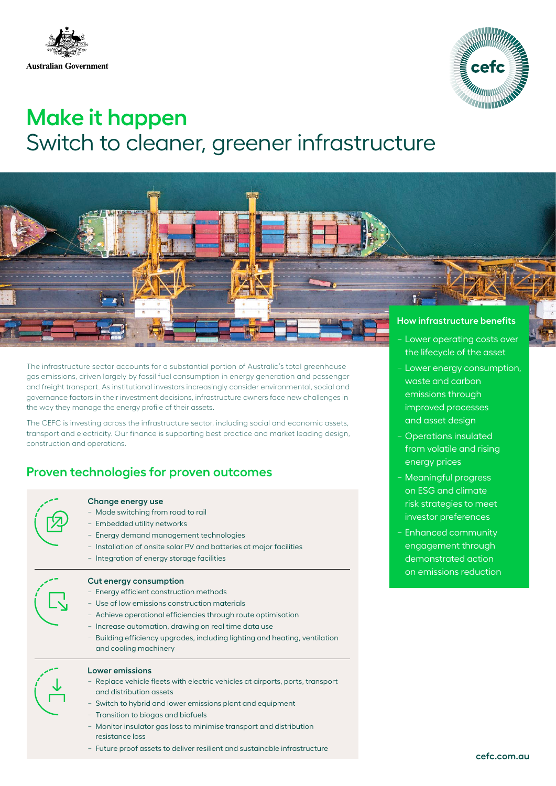



# **Make it happen** Switch to cleaner, greener infrastructure



The infrastructure sector accounts for a substantial portion of Australia's total greenhouse gas emissions, driven largely by fossil fuel consumption in energy generation and passenger and freight transport. As institutional investors increasingly consider environmental, social and governance factors in their investment decisions, infrastructure owners face new challenges in the way they manage the energy profile of their assets.

The CEFC is investing across the infrastructure sector, including social and economic assets, transport and electricity. Our finance is supporting best practice and market leading design, construction and operations.

# **Proven technologies for proven outcomes**

#### **Change energy use**

- − Mode switching from road to rail
- − Embedded utility networks
- − Energy demand management technologies
- − Installation of onsite solar PV and batteries at major facilities
- − Integration of energy storage facilities

#### **Cut energy consumption**

- − Energy efficient construction methods
- − Use of low emissions construction materials
- − Achieve operational efficiencies through route optimisation
- − Increase automation, drawing on real time data use
- − Building efficiency upgrades, including lighting and heating, ventilation and cooling machinery

#### **Lower emissions**

- − Replace vehicle fleets with electric vehicles at airports, ports, transport and distribution assets
- − Switch to hybrid and lower emissions plant and equipment
- − Transition to biogas and biofuels
- − Monitor insulator gas loss to minimise transport and distribution resistance loss
- − Future proof assets to deliver resilient and sustainable infrastructure
- the lifecycle of the asset
- − Lower energy consumption, waste and carbon emissions through improved processes and asset design
- − Operations insulated from volatile and rising energy prices
- − Meaningful progress on ESG and climate risk strategies to meet investor preferences
- − Enhanced community engagement through demonstrated action on emissions reduction